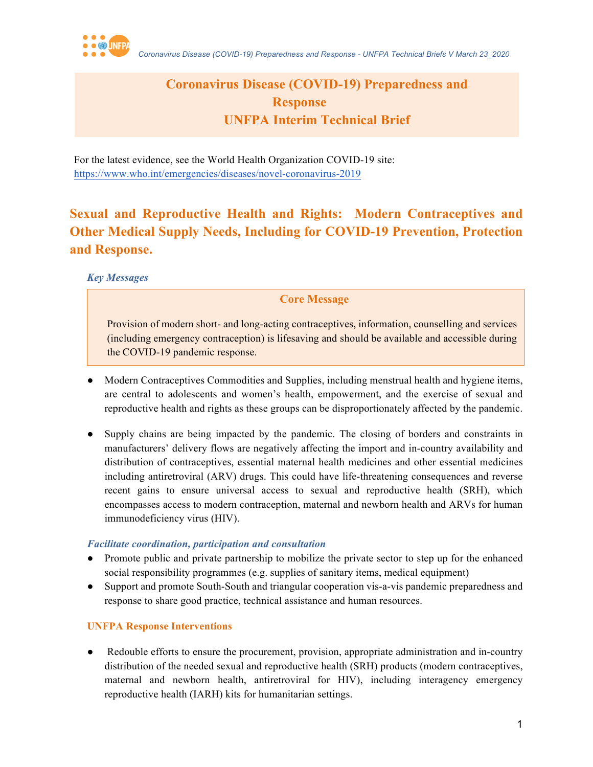

## **Coronavirus Disease (COVID-19) Preparedness and Response UNFPA Interim Technical Brief**

For the latest evidence, see the World Health Organization COVID-19 site: https://www.who.int/emergencies/diseases/novel-coronavirus-2019

# **Sexual and Reproductive Health and Rights: Modern Contraceptives and Other Medical Supply Needs, Including for COVID-19 Prevention, Protection and Response.**

*Key Messages*

### **Core Message**

Provision of modern short- and long-acting contraceptives, information, counselling and services (including emergency contraception) is lifesaving and should be available and accessible during the COVID-19 pandemic response.

- Modern Contraceptives Commodities and Supplies, including menstrual health and hygiene items, are central to adolescents and women's health, empowerment, and the exercise of sexual and reproductive health and rights as these groups can be disproportionately affected by the pandemic.
- Supply chains are being impacted by the pandemic. The closing of borders and constraints in manufacturers' delivery flows are negatively affecting the import and in-country availability and distribution of contraceptives, essential maternal health medicines and other essential medicines including antiretroviral (ARV) drugs. This could have life-threatening consequences and reverse recent gains to ensure universal access to sexual and reproductive health (SRH), which encompasses access to modern contraception, maternal and newborn health and ARVs for human immunodeficiency virus (HIV).

#### *Facilitate coordination, participation and consultation*

- Promote public and private partnership to mobilize the private sector to step up for the enhanced social responsibility programmes (e.g. supplies of sanitary items, medical equipment)
- Support and promote South-South and triangular cooperation vis-a-vis pandemic preparedness and response to share good practice, technical assistance and human resources.

### **UNFPA Response Interventions**

Redouble efforts to ensure the procurement, provision, appropriate administration and in-country distribution of the needed sexual and reproductive health (SRH) products (modern contraceptives, maternal and newborn health, antiretroviral for HIV), including interagency emergency reproductive health (IARH) kits for humanitarian settings.